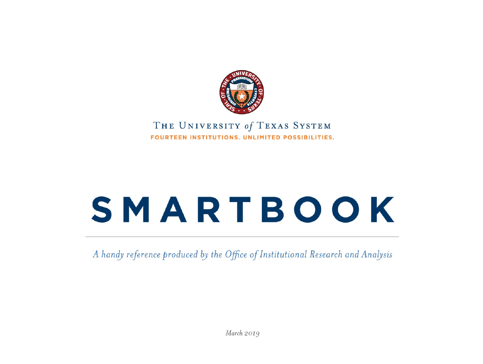

#### THE UNIVERSITY of TEXAS SYSTEM FOURTEEN INSTITUTIONS, UNLIMITED POSSIBILITIES.

# SMARTBOOK

A handy reference produced by the Office of Institutional Research and Analysis

March 2019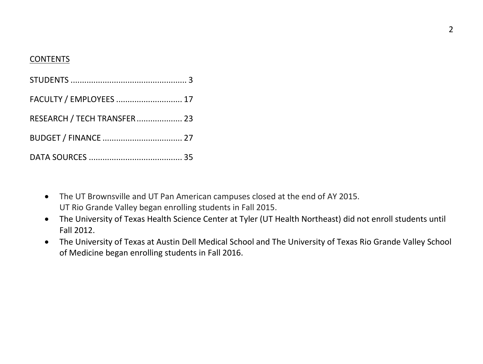#### CONTENTS

| FACULTY / EMPLOYEES  17     |  |
|-----------------------------|--|
| RESEARCH / TECH TRANSFER 23 |  |
|                             |  |
|                             |  |

- The UT Brownsville and UT Pan American campuses closed at the end of AY 2015. UT Rio Grande Valley began enrolling students in Fall 2015.
- The University of Texas Health Science Center at Tyler (UT Health Northeast) did not enroll students until Fall 2012.
- The University of Texas at Austin Dell Medical School and The University of Texas Rio Grande Valley School of Medicine began enrolling students in Fall 2016.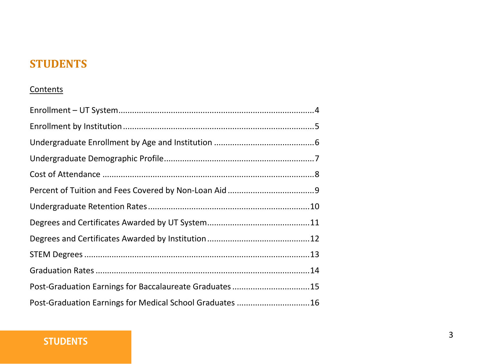# **STUDENTS**

#### **Contents**

| Post-Graduation Earnings for Baccalaureate Graduates 15  |  |
|----------------------------------------------------------|--|
| Post-Graduation Earnings for Medical School Graduates 16 |  |

#### **STUDENTS**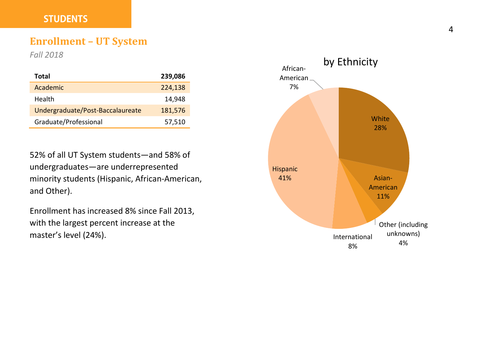#### **STUDENTS**

#### **Enrollment – UT System**

*Fall 2018*

| Total                            | 239,086 |
|----------------------------------|---------|
| Academic                         | 224,138 |
| Health                           | 14.948  |
| Undergraduate/Post-Baccalaureate | 181,576 |
| Graduate/Professional            | 57,510  |

52% of all UT System students—and 58% of undergraduates—are underrepresented minority students (Hispanic, African-American, and Other).

Enrollment has increased 8% since Fall 2013, with the largest percent increase at the master's level (24%).

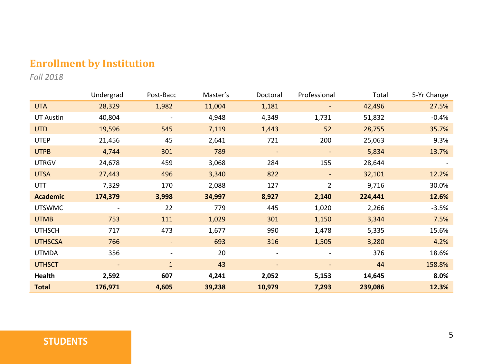# **Enrollment by Institution**

*Fall 2018*

|                  | Undergrad                | Post-Bacc    | Master's | Doctoral                 | Professional             | Total   | 5-Yr Change |
|------------------|--------------------------|--------------|----------|--------------------------|--------------------------|---------|-------------|
| <b>UTA</b>       | 28,329                   | 1,982        | 11,004   | 1,181                    | $\qquad \qquad -$        | 42,496  | 27.5%       |
| <b>UT Austin</b> | 40,804                   |              | 4,948    | 4,349                    | 1,731                    | 51,832  | $-0.4%$     |
| <b>UTD</b>       | 19,596                   | 545          | 7,119    | 1,443                    | 52                       | 28,755  | 35.7%       |
| <b>UTEP</b>      | 21,456                   | 45           | 2,641    | 721                      | 200                      | 25,063  | 9.3%        |
| <b>UTPB</b>      | 4,744                    | 301          | 789      | $\overline{\phantom{a}}$ | $\overline{\phantom{a}}$ | 5,834   | 13.7%       |
| <b>UTRGV</b>     | 24,678                   | 459          | 3,068    | 284                      | 155                      | 28,644  |             |
| <b>UTSA</b>      | 27,443                   | 496          | 3,340    | 822                      | ٠                        | 32,101  | 12.2%       |
| UTT              | 7,329                    | 170          | 2,088    | 127                      | 2                        | 9,716   | 30.0%       |
| <b>Academic</b>  | 174,379                  | 3,998        | 34,997   | 8,927                    | 2,140                    | 224,441 | 12.6%       |
| <b>UTSWMC</b>    |                          | 22           | 779      | 445                      | 1,020                    | 2,266   | $-3.5%$     |
| <b>UTMB</b>      | 753                      | 111          | 1,029    | 301                      | 1,150                    | 3,344   | 7.5%        |
| <b>UTHSCH</b>    | 717                      | 473          | 1,677    | 990                      | 1,478                    | 5,335   | 15.6%       |
| <b>UTHSCSA</b>   | 766                      | ٠            | 693      | 316                      | 1,505                    | 3,280   | 4.2%        |
| <b>UTMDA</b>     | 356                      | ٠            | 20       |                          | ٠                        | 376     | 18.6%       |
| <b>UTHSCT</b>    | $\overline{\phantom{a}}$ | $\mathbf{1}$ | 43       | $\overline{\phantom{a}}$ | $\overline{\phantom{a}}$ | 44      | 158.8%      |
| Health           | 2,592                    | 607          | 4,241    | 2,052                    | 5,153                    | 14,645  | 8.0%        |
| <b>Total</b>     | 176,971                  | 4,605        | 39,238   | 10,979                   | 7,293                    | 239,086 | 12.3%       |

# **STUDENTS**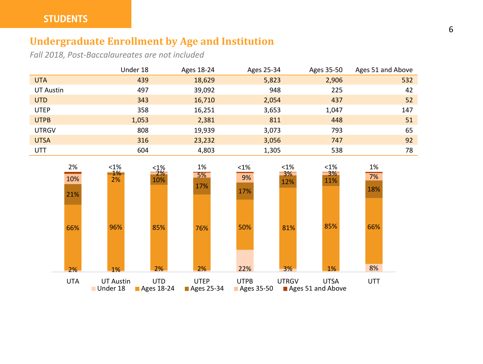# **Undergraduate Enrollment by Age and Institution**

*Fall 2018, Post-Baccalaureates are not included*

|              | Under 18 | Ages 18-24 | Ages 25-34 | Ages 35-50 | Ages 51 and Above |
|--------------|----------|------------|------------|------------|-------------------|
| <b>UTA</b>   | 439      | 18,629     | 5,823      | 2,906      | 532               |
| UT Austin    | 497      | 39,092     | 948        | 225        | 42                |
| <b>UTD</b>   | 343      | 16,710     | 2,054      | 437        | 52                |
| <b>UTEP</b>  | 358      | 16,251     | 3,653      | 1,047      | 147               |
| <b>UTPB</b>  | 1,053    | 2,381      | 811        | 448        | 51                |
| <b>UTRGV</b> | 808      | 19,939     | 3,073      | 793        | 65                |
| <b>UTSA</b>  | 316      | 23,232     | 3,056      | 747        | 92                |
| <b>UTT</b>   | 604      | 4,803      | 1,305      | 538        | 78                |

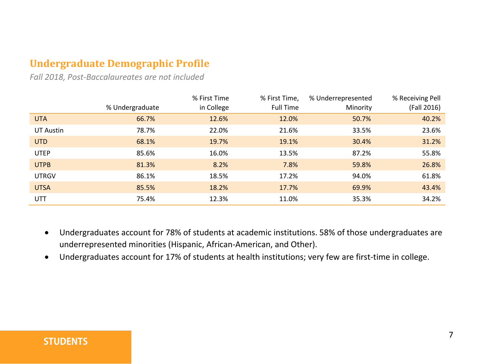# **Undergraduate Demographic Profile**

*Fall 2018, Post-Baccalaureates are not included*

|              | % Undergraduate | % First Time<br>in College | % First Time,<br>Full Time | % Underrepresented<br>Minority | % Receiving Pell<br>(Fall 2016) |
|--------------|-----------------|----------------------------|----------------------------|--------------------------------|---------------------------------|
| <b>UTA</b>   | 66.7%           | 12.6%                      | 12.0%                      | 50.7%                          | 40.2%                           |
| UT Austin    | 78.7%           | 22.0%                      | 21.6%                      | 33.5%                          | 23.6%                           |
| <b>UTD</b>   | 68.1%           | 19.7%                      | 19.1%                      | 30.4%                          | 31.2%                           |
| <b>UTEP</b>  | 85.6%           | 16.0%                      | 13.5%                      | 87.2%                          | 55.8%                           |
| <b>UTPB</b>  | 81.3%           | 8.2%                       | 7.8%                       | 59.8%                          | 26.8%                           |
| <b>UTRGV</b> | 86.1%           | 18.5%                      | 17.2%                      | 94.0%                          | 61.8%                           |
| <b>UTSA</b>  | 85.5%           | 18.2%                      | 17.7%                      | 69.9%                          | 43.4%                           |
| UTT          | 75.4%           | 12.3%                      | 11.0%                      | 35.3%                          | 34.2%                           |

- Undergraduates account for 78% of students at academic institutions. 58% of those undergraduates are underrepresented minorities (Hispanic, African-American, and Other).
- Undergraduates account for 17% of students at health institutions; very few are first-time in college.

#### **STUDENTS**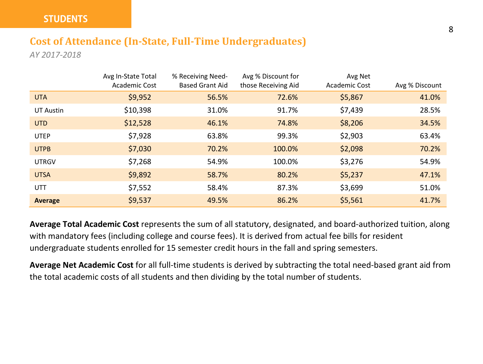# **Cost of Attendance (In-State, Full-Time Undergraduates)**

*AY 2017-2018*

|                  | Avg In-State Total<br>Academic Cost | % Receiving Need-<br><b>Based Grant Aid</b> | Avg % Discount for<br>those Receiving Aid | Avg Net<br>Academic Cost | Avg % Discount |
|------------------|-------------------------------------|---------------------------------------------|-------------------------------------------|--------------------------|----------------|
| <b>UTA</b>       | \$9,952                             | 56.5%                                       | 72.6%                                     | \$5,867                  | 41.0%          |
| <b>UT Austin</b> | \$10,398                            | 31.0%                                       | 91.7%                                     | \$7,439                  | 28.5%          |
| <b>UTD</b>       | \$12,528                            | 46.1%                                       | 74.8%                                     | \$8,206                  | 34.5%          |
| <b>UTEP</b>      | \$7,928                             | 63.8%                                       | 99.3%                                     | \$2,903                  | 63.4%          |
| <b>UTPB</b>      | \$7,030                             | 70.2%                                       | 100.0%                                    | \$2,098                  | 70.2%          |
| <b>UTRGV</b>     | \$7,268                             | 54.9%                                       | 100.0%                                    | \$3,276                  | 54.9%          |
| <b>UTSA</b>      | \$9,892                             | 58.7%                                       | 80.2%                                     | \$5,237                  | 47.1%          |
| <b>UTT</b>       | \$7,552                             | 58.4%                                       | 87.3%                                     | \$3,699                  | 51.0%          |
| Average          | \$9,537                             | 49.5%                                       | 86.2%                                     | \$5,561                  | 41.7%          |

**Average Total Academic Cost** represents the sum of all statutory, designated, and board-authorized tuition, along with mandatory fees (including college and course fees). It is derived from actual fee bills for resident undergraduate students enrolled for 15 semester credit hours in the fall and spring semesters.

**Average Net Academic Cost** for all full-time students is derived by subtracting the total need-based grant aid from the total academic costs of all students and then dividing by the total number of students.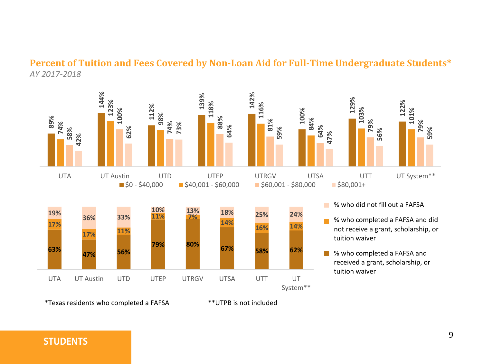#### **Percent of Tuition and Fees Covered by Non-Loan Aid for Full-Time Undergraduate Students\*** *AY 2017-2018*



\*Texas residents who completed a FAFSA \*\*UTPB is not included

#### **STUDENTS**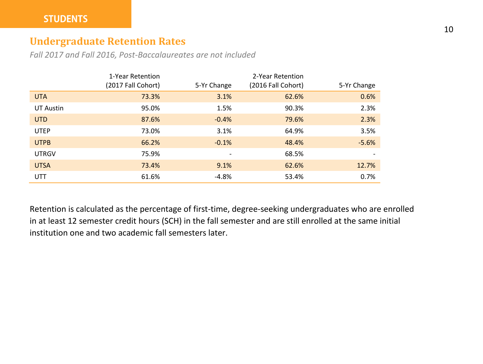#### **Undergraduate Retention Rates**

*Fall 2017 and Fall 2016, Post-Baccalaureates are not included*

|                  | 1-Year Retention<br>(2017 Fall Cohort) | 5-Yr Change              | 2-Year Retention<br>(2016 Fall Cohort) | 5-Yr Change |
|------------------|----------------------------------------|--------------------------|----------------------------------------|-------------|
|                  |                                        |                          |                                        |             |
| <b>UTA</b>       | 73.3%                                  | 3.1%                     | 62.6%                                  | 0.6%        |
| <b>UT Austin</b> | 95.0%                                  | 1.5%                     | 90.3%                                  | 2.3%        |
| <b>UTD</b>       | 87.6%                                  | $-0.4%$                  | 79.6%                                  | 2.3%        |
| <b>UTEP</b>      | 73.0%                                  | 3.1%                     | 64.9%                                  | 3.5%        |
| <b>UTPB</b>      | 66.2%                                  | $-0.1%$                  | 48.4%                                  | $-5.6%$     |
| <b>UTRGV</b>     | 75.9%                                  | $\overline{\phantom{a}}$ | 68.5%                                  |             |
| <b>UTSA</b>      | 73.4%                                  | 9.1%                     | 62.6%                                  | 12.7%       |
| <b>UTT</b>       | 61.6%                                  | $-4.8%$                  | 53.4%                                  | 0.7%        |

Retention is calculated as the percentage of first-time, degree-seeking undergraduates who are enrolled in at least 12 semester credit hours (SCH) in the fall semester and are still enrolled at the same initial institution one and two academic fall semesters later.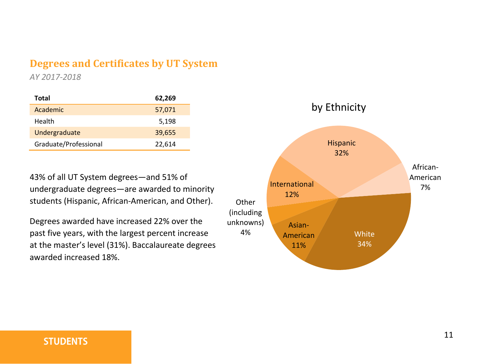### **Degrees and Certificates by UT System**

*AY 2017-2018*

| Total                 | 62,269 |
|-----------------------|--------|
| Academic              | 57,071 |
| Health                | 5,198  |
| Undergraduate         | 39,655 |
| Graduate/Professional | 22,614 |

43% of all UT System degrees—and 51% of undergraduate degrees—are awarded to minority students (Hispanic, African-American, and Other).

Degrees awarded have increased 22% over the past five years, with the largest percent increase at the master's level (31%). Baccalaureate degrees awarded increased 18%.

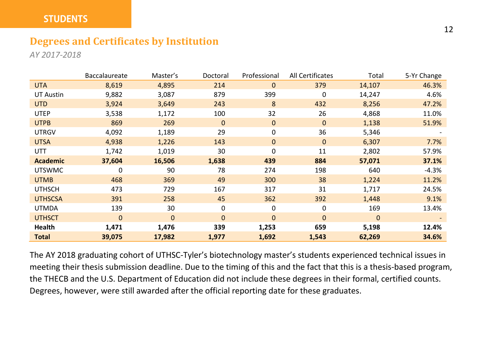#### **STUDENTS**

#### **Degrees and Certificates by Institution**

*AY 2017-2018*

|                  | <b>Baccalaureate</b> | Master's | Doctoral     | Professional | All Certificates | Total        | 5-Yr Change |
|------------------|----------------------|----------|--------------|--------------|------------------|--------------|-------------|
| <b>UTA</b>       | 8,619                | 4,895    | 214          | $\mathbf{0}$ | 379              | 14,107       | 46.3%       |
| <b>UT Austin</b> | 9,882                | 3,087    | 879          | 399          | 0                | 14,247       | 4.6%        |
| <b>UTD</b>       | 3,924                | 3,649    | 243          | 8            | 432              | 8,256        | 47.2%       |
| <b>UTEP</b>      | 3,538                | 1,172    | 100          | 32           | 26               | 4,868        | 11.0%       |
| <b>UTPB</b>      | 869                  | 269      | 0            | $\mathbf{0}$ | $\Omega$         | 1,138        | 51.9%       |
| <b>UTRGV</b>     | 4,092                | 1,189    | 29           | 0            | 36               | 5,346        |             |
| <b>UTSA</b>      | 4,938                | 1,226    | 143          | $\mathbf{0}$ | $\mathbf{0}$     | 6,307        | 7.7%        |
| UTT              | 1,742                | 1,019    | 30           | 0            | 11               | 2,802        | 57.9%       |
| <b>Academic</b>  | 37,604               | 16,506   | 1,638        | 439          | 884              | 57,071       | 37.1%       |
| <b>UTSWMC</b>    | 0                    | 90       | 78           | 274          | 198              | 640          | $-4.3%$     |
| <b>UTMB</b>      | 468                  | 369      | 49           | 300          | 38               | 1,224        | 11.2%       |
| <b>UTHSCH</b>    | 473                  | 729      | 167          | 317          | 31               | 1,717        | 24.5%       |
| <b>UTHSCSA</b>   | 391                  | 258      | 45           | 362          | 392              | 1,448        | 9.1%        |
| <b>UTMDA</b>     | 139                  | 30       | 0            | 0            | 0                | 169          | 13.4%       |
| <b>UTHSCT</b>    | $\mathbf{0}$         | $\Omega$ | $\mathbf{0}$ | $\mathbf{0}$ | $\Omega$         | $\mathbf{0}$ |             |
| Health           | 1,471                | 1,476    | 339          | 1,253        | 659              | 5,198        | 12.4%       |
| <b>Total</b>     | 39,075               | 17,982   | 1,977        | 1,692        | 1,543            | 62,269       | 34.6%       |

The AY 2018 graduating cohort of UTHSC-Tyler's biotechnology master's students experienced technical issues in meeting their thesis submission deadline. Due to the timing of this and the fact that this is a thesis-based program, the THECB and the U.S. Department of Education did not include these degrees in their formal, certified counts. Degrees, however, were still awarded after the official reporting date for these graduates.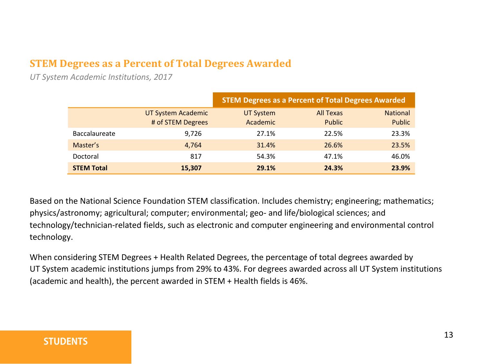# **STEM Degrees as a Percent of Total Degrees Awarded**

*UT System Academic Institutions, 2017*

|                      |                                         | <b>STEM Degrees as a Percent of Total Degrees Awarded</b> |                            |                           |
|----------------------|-----------------------------------------|-----------------------------------------------------------|----------------------------|---------------------------|
|                      | UT System Academic<br># of STEM Degrees | <b>UT System</b><br>Academic                              | <b>All Texas</b><br>Public | <b>National</b><br>Public |
| <b>Baccalaureate</b> | 9.726                                   | 27.1%                                                     | 22.5%                      | 23.3%                     |
| Master's             | 4,764                                   | 31.4%                                                     | 26.6%                      | 23.5%                     |
| Doctoral             | 817                                     | 54.3%                                                     | 47.1%                      | 46.0%                     |
| <b>STEM Total</b>    | 15,307                                  | 29.1%                                                     | 24.3%                      | 23.9%                     |

Based on the National Science Foundation STEM classification. Includes chemistry; engineering; mathematics; physics/astronomy; agricultural; computer; environmental; geo- and life/biological sciences; and technology/technician-related fields, such as electronic and computer engineering and environmental control technology.

When considering STEM Degrees + Health Related Degrees, the percentage of total degrees awarded by UT System academic institutions jumps from 29% to 43%. For degrees awarded across all UT System institutions (academic and health), the percent awarded in STEM + Health fields is 46%.

#### **STUDENTS**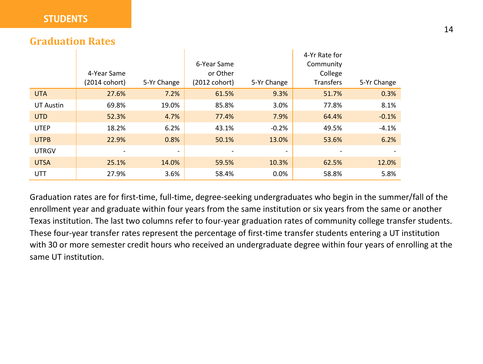#### **STUDENTS**

#### **Graduation Rates**

|                  |               |             |               |                          | 4-Yr Rate for    |             |
|------------------|---------------|-------------|---------------|--------------------------|------------------|-------------|
|                  |               |             | 6-Year Same   |                          | Community        |             |
|                  | 4-Year Same   |             | or Other      |                          | College          |             |
|                  | (2014 cohort) | 5-Yr Change | (2012 cohort) | 5-Yr Change              | <b>Transfers</b> | 5-Yr Change |
| <b>UTA</b>       | 27.6%         | 7.2%        | 61.5%         | 9.3%                     | 51.7%            | 0.3%        |
| <b>UT Austin</b> | 69.8%         | 19.0%       | 85.8%         | 3.0%                     | 77.8%            | 8.1%        |
| <b>UTD</b>       | 52.3%         | 4.7%        | 77.4%         | 7.9%                     | 64.4%            | $-0.1%$     |
| <b>UTEP</b>      | 18.2%         | 6.2%        | 43.1%         | $-0.2%$                  | 49.5%            | $-4.1%$     |
| <b>UTPB</b>      | 22.9%         | 0.8%        | 50.1%         | 13.0%                    | 53.6%            | 6.2%        |
| <b>UTRGV</b>     | Ξ.            | ٠           |               | $\overline{\phantom{a}}$ |                  |             |
| <b>UTSA</b>      | 25.1%         | 14.0%       | 59.5%         | 10.3%                    | 62.5%            | 12.0%       |
| UTT              | 27.9%         | 3.6%        | 58.4%         | 0.0%                     | 58.8%            | 5.8%        |

 $\mathbf{r}$ 

Graduation rates are for first-time, full-time, degree-seeking undergraduates who begin in the summer/fall of the enrollment year and graduate within four years from the same institution or six years from the same or another Texas institution. The last two columns refer to four-year graduation rates of community college transfer students. These four-year transfer rates represent the percentage of first-time transfer students entering a UT institution with 30 or more semester credit hours who received an undergraduate degree within four years of enrolling at the same UT institution.

 $\mathbf{L}$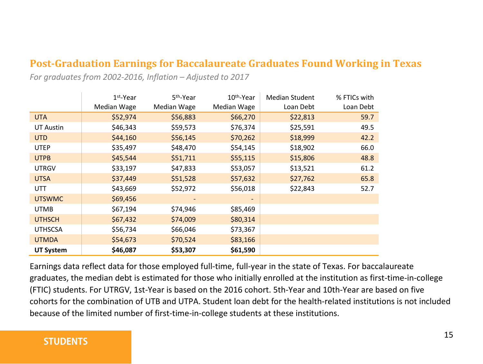# **Post-Graduation Earnings for Baccalaureate Graduates Found Working in Texas**

*For graduates from 2002-2016, Inflation – Adjusted to 2017*

|                  | $1st$ -Year | 5 <sup>th</sup> -Year | 10 <sup>th</sup> -Year | <b>Median Student</b> | % FTICs with |
|------------------|-------------|-----------------------|------------------------|-----------------------|--------------|
|                  | Median Wage | Median Wage           | Median Wage            | Loan Debt             | Loan Debt    |
| <b>UTA</b>       | \$52,974    | \$56,883              | \$66,270               | \$22,813              | 59.7         |
| UT Austin        | \$46,343    | \$59,573              | \$76,374               | \$25,591              | 49.5         |
| <b>UTD</b>       | \$44,160    | \$56,145              | \$70,262               | \$18,999              | 42.2         |
| <b>UTEP</b>      | \$35,497    | \$48,470              | \$54,145               | \$18,902              | 66.0         |
| <b>UTPB</b>      | \$45,544    | \$51,711              | \$55,115               | \$15,806              | 48.8         |
| <b>UTRGV</b>     | \$33,197    | \$47,833              | \$53,057               | \$13,521              | 61.2         |
| <b>UTSA</b>      | \$37,449    | \$51,528              | \$57,632               | \$27,762              | 65.8         |
| <b>UTT</b>       | \$43,669    | \$52,972              | \$56,018               | \$22,843              | 52.7         |
| <b>UTSWMC</b>    | \$69,456    |                       | -                      |                       |              |
| <b>UTMB</b>      | \$67,194    | \$74,946              | \$85,469               |                       |              |
| <b>UTHSCH</b>    | \$67,432    | \$74,009              | \$80,314               |                       |              |
| <b>UTHSCSA</b>   | \$56,734    | \$66,046              | \$73,367               |                       |              |
| <b>UTMDA</b>     | \$54,673    | \$70,524              | \$83,166               |                       |              |
| <b>UT System</b> | \$46,087    | \$53,307              | \$61,590               |                       |              |

Earnings data reflect data for those employed full-time, full-year in the state of Texas. For baccalaureate graduates, the median debt is estimated for those who initially enrolled at the institution as first-time-in-college (FTIC) students. For UTRGV, 1st-Year is based on the 2016 cohort. 5th-Year and 10th-Year are based on five cohorts for the combination of UTB and UTPA. Student loan debt for the health-related institutions is not included because of the limited number of first-time-in-college students at these institutions.

#### **STUDENTS**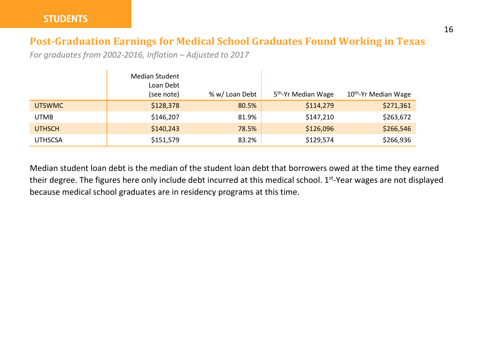# **Post-Graduation Earnings for Medical School Graduates Found Working in Texas**

*For graduates from 2002-2016, Inflation – Adjusted to 2017*

|                | Median Student<br>Loan Debt<br>(see note) | % w/ Loan Debt | 5 <sup>th</sup> -Yr Median Wage | 10 <sup>th</sup> -Yr Median Wage |
|----------------|-------------------------------------------|----------------|---------------------------------|----------------------------------|
| <b>UTSWMC</b>  | \$128,378                                 | 80.5%          | \$114,279                       | \$271,361                        |
| <b>UTMB</b>    | \$146,207                                 | 81.9%          | \$147,210                       | \$263,672                        |
| <b>UTHSCH</b>  | \$140,243                                 | 78.5%          | \$126,096                       | \$266,546                        |
| <b>UTHSCSA</b> | \$151,579                                 | 83.2%          | \$129,574                       | \$266,936                        |

Median student loan debt is the median of the student loan debt that borrowers owed at the time they earned their degree. The figures here only include debt incurred at this medical school. 1<sup>st</sup>-Year wages are not displayed because medical school graduates are in residency programs at this time.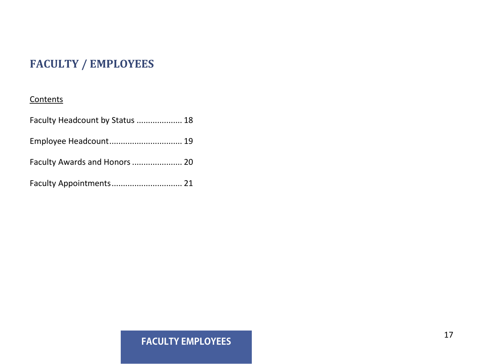# **FACULTY / EMPLOYEES**

#### **Contents**

| Faculty Headcount by Status  18 |  |
|---------------------------------|--|
| Employee Headcount 19           |  |
| Faculty Awards and Honors  20   |  |
| Faculty Appointments 21         |  |

# **FACULTY EMPLOYEES**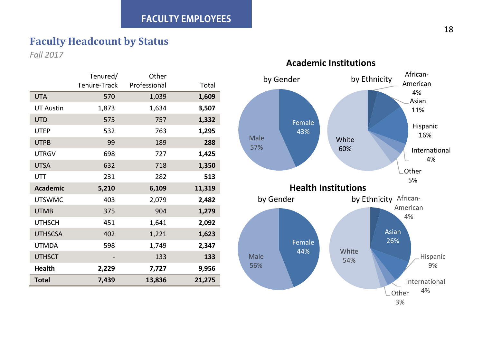# **Faculty Headcount by Status**

*Fall 2017*

|                  | Tenured/     | Other        |        |
|------------------|--------------|--------------|--------|
|                  | Tenure-Track | Professional | Total  |
| <b>UTA</b>       | 570          | 1,039        | 1,609  |
| <b>UT Austin</b> | 1,873        | 1,634        | 3,507  |
| <b>UTD</b>       | 575          | 757          | 1,332  |
| <b>UTEP</b>      | 532          | 763          | 1,295  |
| <b>UTPB</b>      | 99           | 189          | 288    |
| <b>UTRGV</b>     | 698          | 727          | 1,425  |
| <b>UTSA</b>      | 632          | 718          | 1,350  |
| UTT              | 231          | 282          | 513    |
| <b>Academic</b>  | 5,210        | 6,109        | 11,319 |
| <b>UTSWMC</b>    | 403          | 2,079        | 2,482  |
| <b>UTMB</b>      | 375          | 904          | 1,279  |
| <b>UTHSCH</b>    | 451          | 1,641        | 2,092  |
| <b>UTHSCSA</b>   | 402          | 1,221        | 1,623  |
| <b>UTMDA</b>     | 598          | 1,749        | 2,347  |
| <b>UTHSCT</b>    |              | 133          | 133    |
| <b>Health</b>    | 2,229        | 7,727        | 9,956  |
| <b>Total</b>     | 7,439        | 13,836       | 21,275 |

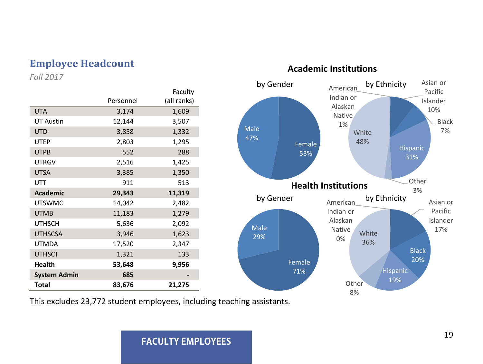# **Employee Headcount Academic Institutions**

*Fall 2017*

|                     |           | Faculty     |
|---------------------|-----------|-------------|
|                     | Personnel | (all ranks) |
| <b>UTA</b>          | 3,174     | 1,609       |
| <b>UT Austin</b>    | 12,144    | 3,507       |
| <b>UTD</b>          | 3,858     | 1,332       |
| <b>UTEP</b>         | 2,803     | 1,295       |
| <b>UTPB</b>         | 552       | 288         |
| <b>UTRGV</b>        | 2,516     | 1,425       |
| <b>UTSA</b>         | 3,385     | 1,350       |
| UTT                 | 911       | 513         |
| <b>Academic</b>     | 29,343    | 11,319      |
| <b>UTSWMC</b>       | 14,042    | 2,482       |
| <b>UTMB</b>         | 11,183    | 1,279       |
| <b>UTHSCH</b>       | 5,636     | 2,092       |
| <b>UTHSCSA</b>      | 3,946     | 1,623       |
| <b>UTMDA</b>        | 17,520    | 2,347       |
| <b>UTHSCT</b>       | 1,321     | 133         |
| <b>Health</b>       | 53,648    | 9,956       |
| <b>System Admin</b> | 685       |             |
| Total               | 83,676    | 21,275      |



This excludes 23,772 student employees, including teaching assistants.

#### **FACULTY EMPLOYEES**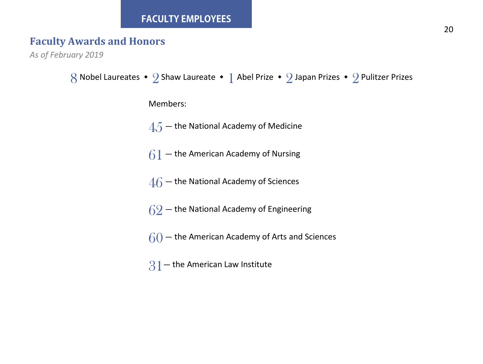#### **FACULTY EMPLOYEES**

# **Faculty Awards and Honors**

*As of February 2019*

```
8 Nobel Laureates • 2 Shaw Laureate • 1 Abel Prize • 2 Japan Prizes • 2 Pulitzer Prizes
       Members:
       4.5 – the National Academy of Medicine
       61 – the American Academy of Nursing
       46 – the National Academy of Sciences
       62 – the National Academy of Engineering
       60 - the American Academy of Arts and Sciences
       31 – the American Law Institute
```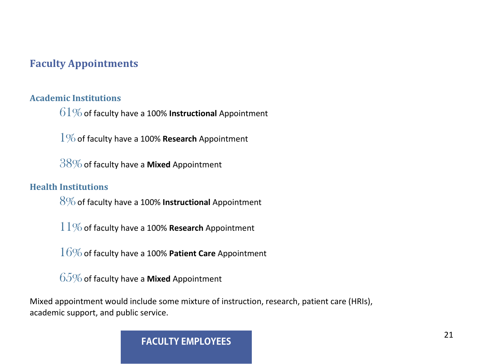# **Faculty Appointments**

#### **Academic Institutions**

 $61\%$  of faculty have a 100% **Instructional** Appointment

1%of faculty have a 100% **Research** Appointment

38%of faculty have a **Mixed** Appointment

#### **Health Institutions**

8%of faculty have a 100% **Instructional** Appointment

11%of faculty have a 100% **Research** Appointment

16%of faculty have a 100% **Patient Care** Appointment

65%of faculty have a **Mixed** Appointment

Mixed appointment would include some mixture of instruction, research, patient care (HRIs), academic support, and public service.

**FACULTY EMPLOYEES**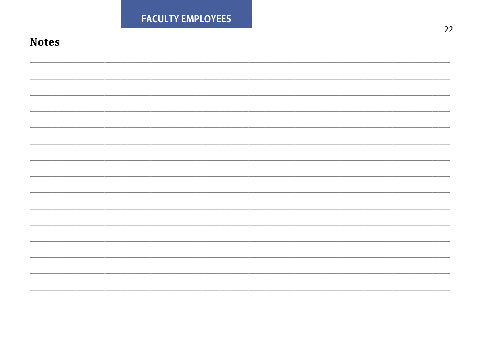|              | <b>FACULTY EMPLOYEES</b> | $22\,$ |
|--------------|--------------------------|--------|
| <b>Notes</b> |                          |        |
|              |                          |        |
|              |                          |        |
|              |                          |        |
|              |                          |        |
|              |                          |        |
|              |                          |        |
|              |                          |        |
|              |                          |        |
|              |                          |        |
|              |                          |        |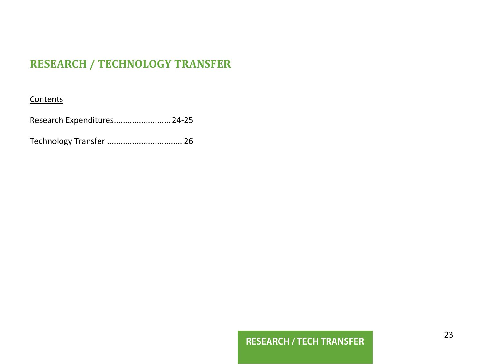# **RESEARCH / TECHNOLOGY TRANSFER**

#### **Contents**

Research Expenditures.........................24-25

Technology Transfer ................................. 26

# **RESEARCH / TECH TRANSFER**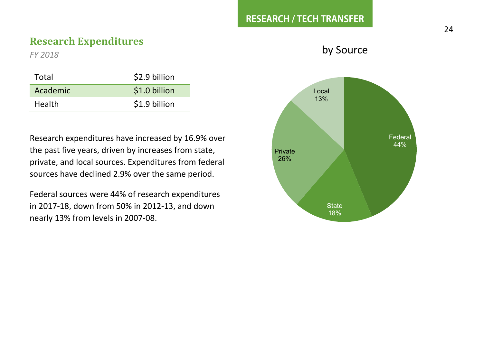### **Research Expenditures**

*FY 2018*

| Total    | \$2.9 billion |
|----------|---------------|
| Academic | \$1.0 billion |
| Health   | \$1.9 billion |

Research expenditures have increased by 16.9% over the past five years, driven by increases from state, private, and local sources. Expenditures from federal sources have declined 2.9% over the same period.

Federal sources were 44% of research expenditures in 2017-18, down from 50% in 2012-13, and down nearly 13% from levels in 2007-08.

by Source

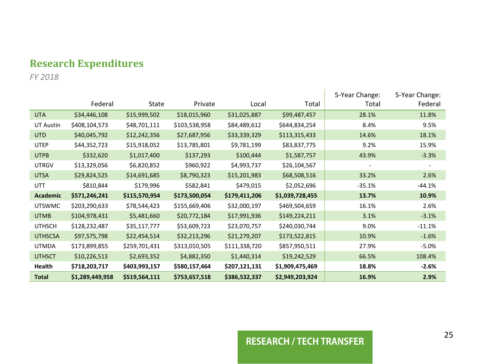# **Research Expenditures**

*FY 2018*

|                  | Federal         | State         | Private       | Local         | Total           | 5-Year Change:<br>Total  | 5-Year Change:<br>Federal |
|------------------|-----------------|---------------|---------------|---------------|-----------------|--------------------------|---------------------------|
| <b>UTA</b>       | \$34,446,108    | \$15,999,502  | \$18,015,960  | \$31,025,887  | \$99,487,457    | 28.1%                    | 11.8%                     |
| <b>UT Austin</b> | \$408,104,573   | \$48,701,111  | \$103,538,958 | \$84,489,612  | \$644,834,254   | 8.4%                     | 9.5%                      |
| <b>UTD</b>       | \$40,045,792    | \$12,242,356  | \$27,687,956  | \$33,339,329  | \$113,315,433   | 14.6%                    | 18.1%                     |
| <b>UTEP</b>      | \$44,352,723    | \$15,918,052  | \$13,785,801  | \$9,781,199   | \$83,837,775    | 9.2%                     | 15.9%                     |
| <b>UTPB</b>      | \$332,620       | \$1,017,400   | \$137,293     | \$100,444     | \$1,587,757     | 43.9%                    | $-3.3%$                   |
| <b>UTRGV</b>     | \$13,329,056    | \$6,820,852   | \$960,922     | \$4,993,737   | \$26,104,567    | $\overline{\phantom{a}}$ |                           |
| <b>UTSA</b>      | \$29,824,525    | \$14,691,685  | \$8,790,323   | \$15,201,983  | \$68,508,516    | 33.2%                    | 2.6%                      |
| UTT              | \$810,844       | \$179,996     | \$582,841     | \$479,015     | \$2,052,696     | $-35.1%$                 | $-44.1%$                  |
| <b>Academic</b>  | \$571,246,241   | \$115,570,954 | \$173,500,054 | \$179,411,206 | \$1,039,728,455 | 13.7%                    | 10.9%                     |
| <b>UTSWMC</b>    | \$203,290,633   | \$78,544,423  | \$155,669,406 | \$32,000,197  | \$469,504,659   | 16.1%                    | 2.6%                      |
| <b>UTMB</b>      | \$104,978,431   | \$5,481,660   | \$20,772,184  | \$17,991,936  | \$149,224,211   | 3.1%                     | $-3.1%$                   |
| <b>UTHSCH</b>    | \$128,232,487   | \$35,117,777  | \$53,609,723  | \$23,070,757  | \$240,030,744   | 9.0%                     | $-11.1%$                  |
| <b>UTHSCSA</b>   | \$97,575,798    | \$22,454,514  | \$32,213,296  | \$21,279,207  | \$173,522,815   | 10.9%                    | $-1.6%$                   |
| <b>UTMDA</b>     | \$173,899,855   | \$259,701,431 | \$313,010,505 | \$111,338,720 | \$857,950,511   | 27.9%                    | $-5.0%$                   |
| <b>UTHSCT</b>    | \$10,226,513    | \$2,693,352   | \$4,882,350   | \$1,440,314   | \$19,242,529    | 66.5%                    | 108.4%                    |
| Health           | \$718,203,717   | \$403,993,157 | \$580,157,464 | \$207,121,131 | \$1,909,475,469 | 18.8%                    | $-2.6%$                   |
| <b>Total</b>     | \$1,289,449,958 | \$519,564,111 | \$753,657,518 | \$386,532,337 | \$2,949,203,924 | 16.9%                    | 2.9%                      |

# **RESEARCH / TECH TRANSFER**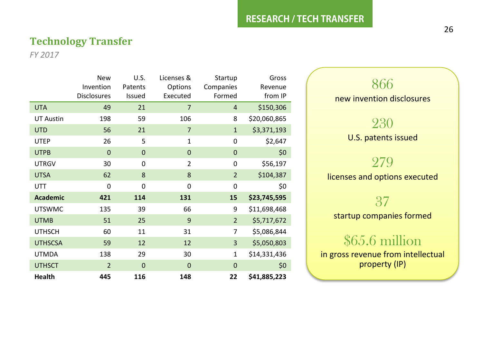#### **RESEARCH / TECH TRANSFER**

#### **Technology Transfer**

*FY 2017*

|                  | <b>New</b>         | U.S.        | Licenses &     | Startup        | Gross        |
|------------------|--------------------|-------------|----------------|----------------|--------------|
|                  | Invention          | Patents     | Options        | Companies      | Revenue      |
|                  | <b>Disclosures</b> | Issued      | Executed       | Formed         | from IP      |
| <b>UTA</b>       | 49                 | 21          | 7              | $\overline{4}$ | \$150,306    |
| <b>UT Austin</b> | 198                | 59          | 106            | 8              | \$20,060,865 |
| <b>UTD</b>       | 56                 | 21          | 7              | $\mathbf{1}$   | \$3,371,193  |
| <b>UTEP</b>      | 26                 | 5           | $\mathbf{1}$   | 0              | \$2,647      |
| <b>UTPB</b>      | $\overline{0}$     | $\mathbf 0$ | $\mathbf{0}$   | $\mathbf{0}$   | \$0          |
| <b>UTRGV</b>     | 30                 | 0           | $\overline{2}$ | 0              | \$56,197     |
| <b>UTSA</b>      | 62                 | 8           | 8              | $\overline{2}$ | \$104,387    |
| UTT              | 0                  | 0           | 0              | 0              | \$0          |
| <b>Academic</b>  | 421                | 114         | 131            | 15             | \$23,745,595 |
| <b>UTSWMC</b>    | 135                | 39          | 66             | 9              | \$11,698,468 |
| <b>UTMB</b>      | 51                 | 25          | 9              | $\overline{2}$ | \$5,717,672  |
| <b>UTHSCH</b>    | 60                 | 11          | 31             | 7              | \$5,086,844  |
| <b>UTHSCSA</b>   | 59                 | 12          | 12             | 3              | \$5,050,803  |
| <b>UTMDA</b>     | 138                | 29          | 30             | 1              | \$14,331,436 |
| <b>UTHSCT</b>    | $\overline{2}$     | $\mathbf 0$ | $\mathbf 0$    | $\mathbf 0$    | \$0          |
| <b>Health</b>    | 445                | 116         | 148            | 22             | \$41,885,223 |

866 new invention disclosures 230 U.S. patents issued 279 licenses and options executed 37 startup companies formed

# \$65.6 million

in gross revenue from intellectual property (IP)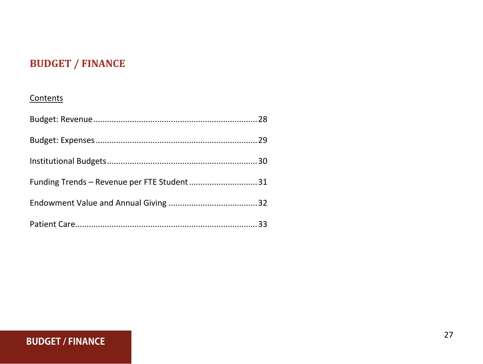# **BUDGET / FINANCE**

#### **Contents**

| Funding Trends - Revenue per FTE Student31 |  |
|--------------------------------------------|--|
|                                            |  |
|                                            |  |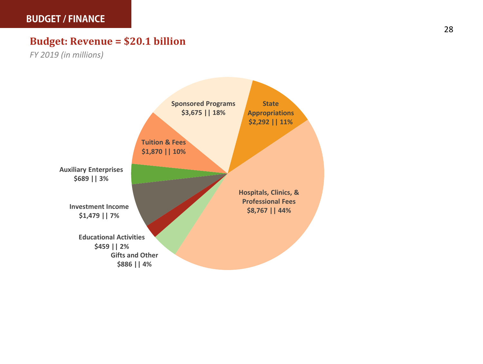# **Budget: Revenue = \$20.1 billion**

*FY 2019 (in millions)*

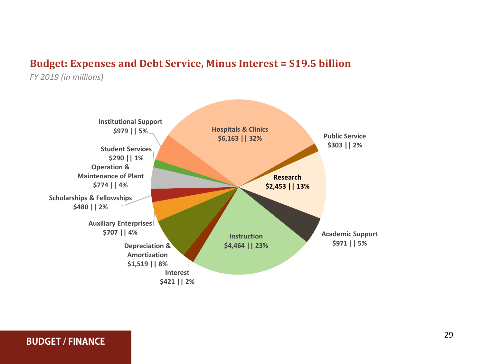### **Budget: Expenses and Debt Service, Minus Interest = \$19.5 billion**

*FY 2019 (in millions)*

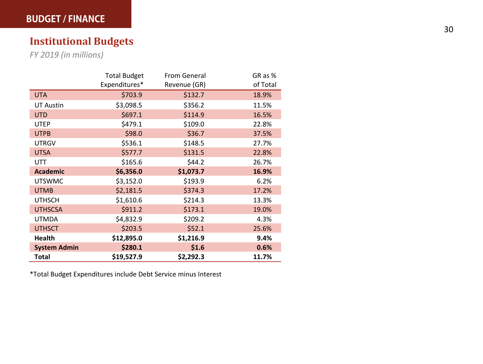# **Institutional Budget s**

*FY 201 9 (in millions)*

|                     | <b>Total Budget</b> | From General | GR as %  |
|---------------------|---------------------|--------------|----------|
|                     | Expenditures*       | Revenue (GR) | of Total |
| <b>UTA</b>          | \$703.9             | \$132.7      | 18.9%    |
| <b>UT Austin</b>    | \$3,098.5           | \$356.2      | 11.5%    |
| <b>UTD</b>          | \$697.1             | \$114.9      | 16.5%    |
| <b>UTEP</b>         | \$479.1             | \$109.0      | 22.8%    |
| <b>UTPB</b>         | \$98.0              | \$36.7       | 37.5%    |
| <b>UTRGV</b>        | \$536.1             | \$148.5      | 27.7%    |
| <b>UTSA</b>         | \$577.7             | \$131.5      | 22.8%    |
| UTT                 | \$165.6             | \$44.2       | 26.7%    |
| <b>Academic</b>     | \$6,356.0           | \$1,073.7    | 16.9%    |
| <b>UTSWMC</b>       | \$3,152.0           | \$193.9      | 6.2%     |
| <b>UTMB</b>         | \$2,181.5           | \$374.3      | 17.2%    |
| <b>UTHSCH</b>       | \$1,610.6           | \$214.3      | 13.3%    |
| <b>UTHSCSA</b>      | \$911.2             | \$173.1      | 19.0%    |
| UTMDA               | \$4,832.9           | \$209.2      | 4.3%     |
| <b>UTHSCT</b>       | \$203.5             | \$52.1       | 25.6%    |
| <b>Health</b>       | \$12,895.0          | \$1,216.9    | 9.4%     |
| <b>System Admin</b> | \$280.1             | \$1.6        | 0.6%     |
| Total               | \$19,527.9          | \$2,292.3    | 11.7%    |

\*Total Budget Expenditures include Debt Service minus Interest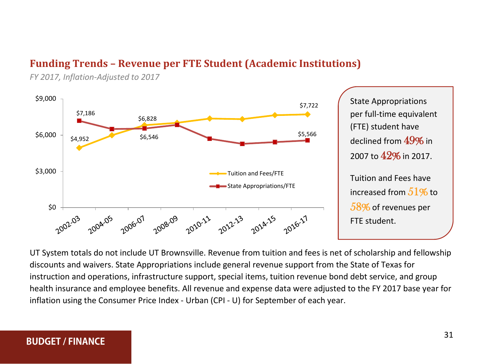# **Funding Trends – Revenue per FTE Student (Academic Institutions)**

*FY 2017, Inflation-Adjusted to 2017*



per full-time equivalent (FTE) student have declined from 49% in 2007 to 42% in 2017. Tuition and Fees have increased from  $51%$  to 58% of revenues per FTE student.

UT System totals do not include UT Brownsville. Revenue from tuition and fees is net of scholarship and fellowship discounts and waivers. State Appropriations include general revenue support from the State of Texas for instruction and operations, infrastructure support, special items, tuition revenue bond debt service, and group health insurance and employee benefits. All revenue and expense data were adjusted to the FY 2017 base year for inflation using the Consumer Price Index - Urban (CPI - U) for September of each year.

#### **BUDGET / FINANCE**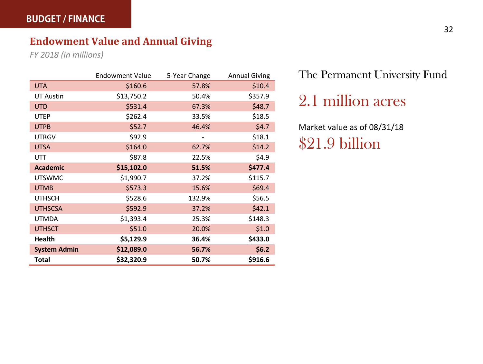# **Endowment Value and Annual Giving**

*FY 2018 (in millions)*

|                     | <b>Endowment Value</b> | 5-Year Change | <b>Annual Giving</b> |
|---------------------|------------------------|---------------|----------------------|
| <b>UTA</b>          | \$160.6                | 57.8%         | \$10.4               |
| <b>UT Austin</b>    | \$13,750.2             | 50.4%         | \$357.9              |
| <b>UTD</b>          | \$531.4                | 67.3%         | \$48.7               |
| <b>UTEP</b>         | \$262.4                | 33.5%         | \$18.5               |
| <b>UTPB</b>         | \$52.7                 | 46.4%         | \$4.7                |
| <b>UTRGV</b>        | \$92.9                 |               | \$18.1               |
| <b>UTSA</b>         | \$164.0                | 62.7%         | \$14.2               |
| UTT                 | \$87.8                 | 22.5%         | \$4.9                |
| <b>Academic</b>     | \$15,102.0             | 51.5%         | \$477.4              |
| <b>UTSWMC</b>       | \$1,990.7              | 37.2%         | \$115.7              |
| <b>UTMB</b>         | \$573.3                | 15.6%         | \$69.4               |
| <b>UTHSCH</b>       | \$528.6                | 132.9%        | \$56.5               |
| <b>UTHSCSA</b>      | \$592.9                | 37.2%         | \$42.1               |
| <b>UTMDA</b>        | \$1,393.4              | 25.3%         | \$148.3              |
| <b>UTHSCT</b>       | \$51.0                 | 20.0%         | \$1.0                |
| <b>Health</b>       | \$5,129.9              | 36.4%         | \$433.0              |
| <b>System Admin</b> | \$12,089.0             | 56.7%         | \$6.2\$              |
| Total               | \$32,320.9             | 50.7%         | \$916.6              |

The Permanent University Fund

2.1 million acres

Market value as of 08/31/18 \$21.9 billion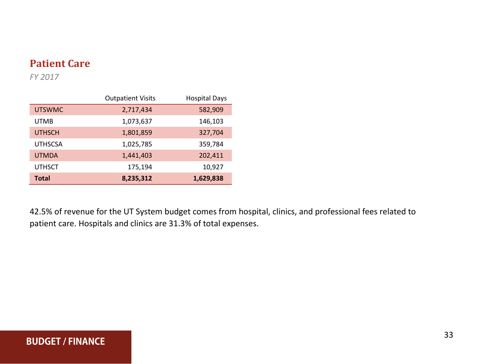# **Patient Care**

*FY 2017*

|                | <b>Outpatient Visits</b> | <b>Hospital Days</b> |
|----------------|--------------------------|----------------------|
| <b>UTSWMC</b>  | 2,717,434                | 582,909              |
| <b>UTMB</b>    | 1,073,637                | 146,103              |
| <b>UTHSCH</b>  | 1,801,859                | 327,704              |
| <b>UTHSCSA</b> | 1,025,785                | 359,784              |
| <b>UTMDA</b>   | 1,441,403                | 202,411              |
| <b>UTHSCT</b>  | 175,194                  | 10,927               |
| Total          | 8,235,312                | 1,629,838            |

42.5% of revenue for the UT System budget comes from hospital, clinics, and professional fees related to patient care. Hospitals and clinics are 31.3% of total expenses.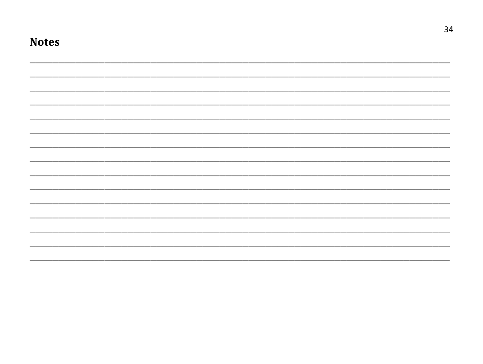| <b>Notes</b> |  |  |  |  |  |
|--------------|--|--|--|--|--|
|              |  |  |  |  |  |
|              |  |  |  |  |  |
|              |  |  |  |  |  |
|              |  |  |  |  |  |
|              |  |  |  |  |  |
|              |  |  |  |  |  |
|              |  |  |  |  |  |
|              |  |  |  |  |  |
|              |  |  |  |  |  |
|              |  |  |  |  |  |
|              |  |  |  |  |  |
|              |  |  |  |  |  |
|              |  |  |  |  |  |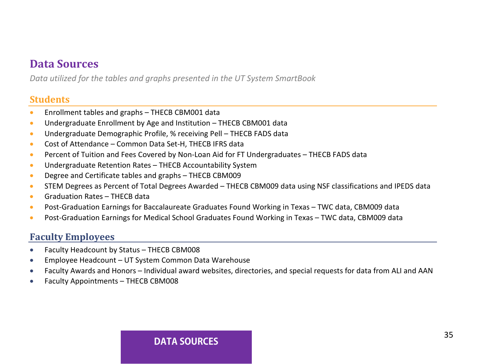# **Data Sources**

*Data utilized for the tables and graphs presented in the UT System SmartBook*

#### **Students**

- Enrollment tables and graphs THECB CBM001 data
- Undergraduate Enrollment by Age and Institution THECB CBM001 data
- Undergraduate Demographic Profile, % receiving Pell THECB FADS data
- Cost of Attendance Common Data Set-H, THECB IFRS data
- Percent of Tuition and Fees Covered by Non-Loan Aid for FT Undergraduates THECB FADS data
- Undergraduate Retention Rates THECB Accountability System
- Degree and Certificate tables and graphs THECB CBM009
- STEM Degrees as Percent of Total Degrees Awarded THECB CBM009 data using NSF classifications and IPEDS data
- Graduation Rates THECB data
- Post-Graduation Earnings for Baccalaureate Graduates Found Working in Texas TWC data, CBM009 data
- Post-Graduation Earnings for Medical School Graduates Found Working in Texas TWC data, CBM009 data

#### **Faculty Employees**

- Faculty Headcount by Status THECB CBM008
- Employee Headcount UT System Common Data Warehouse
- Faculty Awards and Honors Individual award websites, directories, and special requests for data from ALI and AAN
- Faculty Appointments THECB CBM008

#### **DATA SOURCES**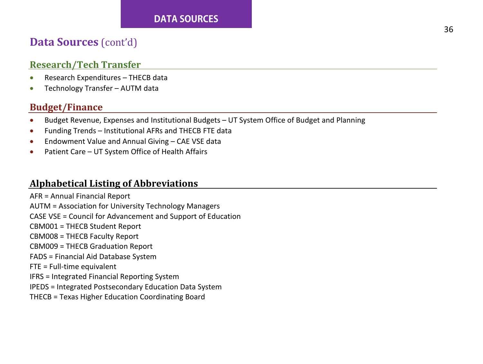#### **DATA SOURCES**

# **Data Sources** (cont'd)

#### **Research/Tech Transfer**

- Research Expenditures THECB data
- Technology Transfer AUTM data

#### **Budget/Finance**

- Budget Revenue, Expenses and Institutional Budgets UT System Office of Budget and Planning
- Funding Trends Institutional AFRs and THECB FTE data
- Endowment Value and Annual Giving CAE VSE data
- Patient Care UT System Office of Health Affairs

#### **Alphabetical Listing of Abbreviations**

AFR = Annual Financial Report AUTM = Association for University Technology Managers CASE VSE = Council for Advancement and Support of Education CBM001 = THECB Student Report CBM008 = THECB Faculty Report CBM009 = THECB Graduation Report FADS = Financial Aid Database System FTE = Full-time equivalent IFRS = Integrated Financial Reporting System IPEDS = Integrated Postsecondary Education Data System THECB = Texas Higher Education Coordinating Board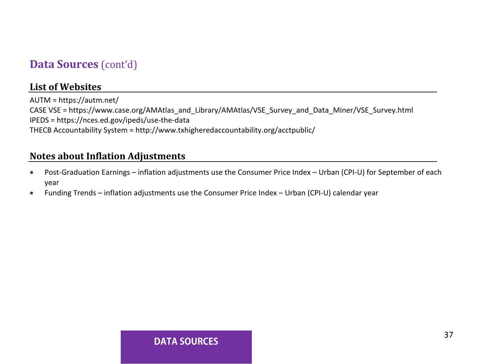# **Data Sources** (cont'd)

#### **List of Websites**

AUTM =<https://autm.net/> CASE VSE = https://www.case.org/AMAtlas\_and\_Library/AMAtlas/VSE\_Survey\_and\_Data\_Miner/VSE\_Survey.html IPEDS = https://nces.ed.gov/ipeds/use-the-data THECB Accountability System = http://www.txhigheredaccountability.org/acctpublic/

#### **Notes about Inflation Adjustments**

- Post-Graduation Earnings inflation adjustments use the Consumer Price Index Urban (CPI-U) for September of each year
- Funding Trends inflation adjustments use the Consumer Price Index Urban (CPI-U) calendar year

#### **DATA SOURCES**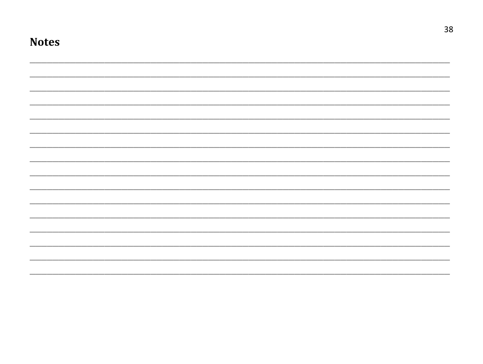| <b>Notes</b> |  |  |  |
|--------------|--|--|--|
|              |  |  |  |
|              |  |  |  |
|              |  |  |  |
|              |  |  |  |
|              |  |  |  |
|              |  |  |  |
|              |  |  |  |
|              |  |  |  |
|              |  |  |  |
|              |  |  |  |
|              |  |  |  |
|              |  |  |  |
|              |  |  |  |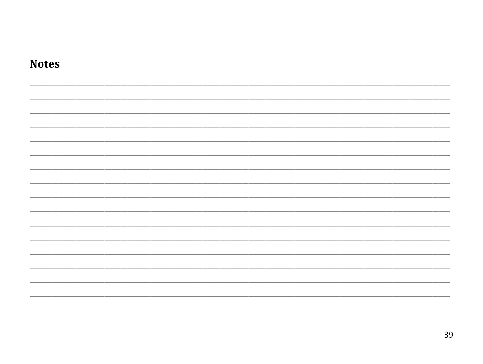| <b>Notes</b> |  |  |
|--------------|--|--|
|              |  |  |
|              |  |  |
|              |  |  |
|              |  |  |
|              |  |  |
|              |  |  |
|              |  |  |
|              |  |  |
|              |  |  |
|              |  |  |
|              |  |  |
|              |  |  |
|              |  |  |
|              |  |  |